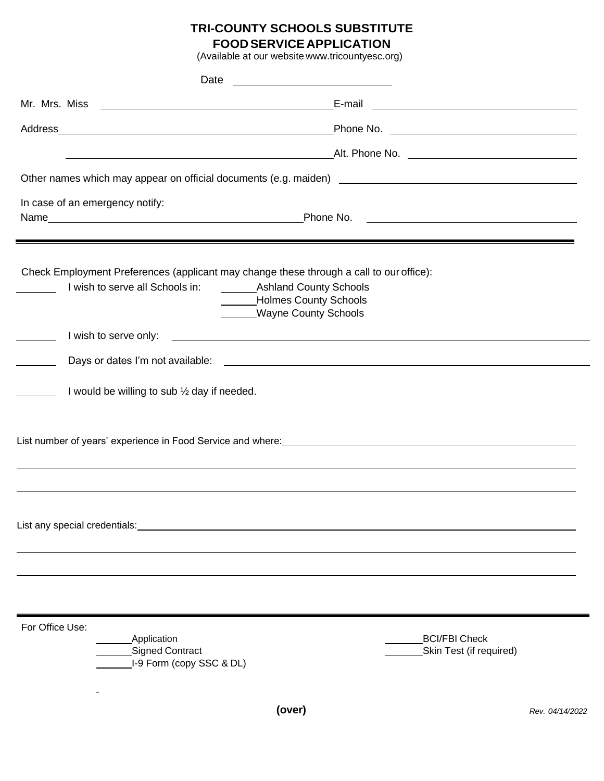# **TRI-COUNTY SCHOOLS SUBSTITUTE FOODSERVICE APPLICATION**

| (Available at our website www.tricountyesc.org)                                                                                                                                                                                      |                                                                                                                                                                                                    |                 |
|--------------------------------------------------------------------------------------------------------------------------------------------------------------------------------------------------------------------------------------|----------------------------------------------------------------------------------------------------------------------------------------------------------------------------------------------------|-----------------|
|                                                                                                                                                                                                                                      |                                                                                                                                                                                                    |                 |
|                                                                                                                                                                                                                                      |                                                                                                                                                                                                    |                 |
|                                                                                                                                                                                                                                      |                                                                                                                                                                                                    |                 |
|                                                                                                                                                                                                                                      | Alt. Phone No. 2006. 2006. 2006. 2007. Alt. Phone No. 2006. 2007. 2008. 2007. 2008. 2007. 2008. 2007. 2008. 20                                                                                     |                 |
|                                                                                                                                                                                                                                      |                                                                                                                                                                                                    |                 |
| In case of an emergency notify:                                                                                                                                                                                                      |                                                                                                                                                                                                    |                 |
|                                                                                                                                                                                                                                      | <u> 1989 - Johann Harry Harry Harry Harry Harry Harry Harry Harry Harry Harry Harry Harry Harry Harry Harry Harry</u>                                                                              |                 |
|                                                                                                                                                                                                                                      | Check Employment Preferences (applicant may change these through a call to our office):<br>I wish to serve all Schools in: Ashland County Schools<br>Holmes County Schools<br>Wayne County Schools |                 |
| I wish to serve only:                                                                                                                                                                                                                | <u> 1989 - Johann Stein, markin film fan it ferstjer fan de fan it ferstjer fan it ferstjer fan it ferstjer fan i</u>                                                                              |                 |
|                                                                                                                                                                                                                                      |                                                                                                                                                                                                    |                 |
| I would be willing to sub 1/2 day if needed.                                                                                                                                                                                         |                                                                                                                                                                                                    |                 |
|                                                                                                                                                                                                                                      | ,我们也不会有什么。""我们的人,我们也不会有什么?""我们的人,我们也不会有什么?""我们的人,我们也不会有什么?""我们的人,我们也不会有什么?""我们的人                                                                                                                   |                 |
| List any special credentials: <b>All any of the Contract Contract Contract Contract Contract Contract Contract Contract Contract Contract Contract Contract Contract Contract Contract Contract Contract Contract Contract Contr</b> |                                                                                                                                                                                                    |                 |
|                                                                                                                                                                                                                                      |                                                                                                                                                                                                    |                 |
| For Office Use:<br><b>Application</b><br><b>Signed Contract</b><br>I-9 Form (copy SSC & DL)                                                                                                                                          | <b>BCI/FBI Check</b><br>Skin Test (if required)                                                                                                                                                    |                 |
|                                                                                                                                                                                                                                      | (over)                                                                                                                                                                                             | Rev. 04/14/2022 |